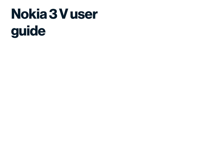# Nokia 3 Vuser guide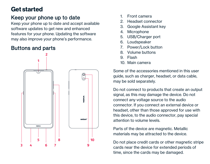# Get started

### Keep your phone up to date

Keep your phone up to date and accept available software updates to get new and enhanced features for your phone. Updating the software may also improve your phone's performance.

### Buttons and parts



- 1. Front camera
- 2. Headset connector
- 3. Google Assistant key
- 4. Microphone
- 5. USB/Charger port
- 6. Loudspeaker
- 7. Power/Lock button
- 8. Volume buttons
- 9. Flash
- 10. Main camera

Some of the accessories mentioned in this user guide, such as charger, headset, or data cable, may be sold separately.

Do not connect to products that create an output signal, as this may damage the device. Do not connect any voltage source to the audio connector. If you connect an external device or headset, other than those approved for use with this device, to the audio connector, pay special attention to volume levels.

Parts of the device are magnetic. Metallic materials may be attracted to the device.

Do not place credit cards or other magnetic stripe cards near the device for extended periods of time, since the cards may be damaged.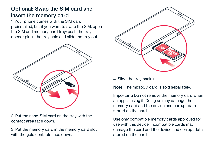### Optional: Swap the SIM card and insert the memory card

1. Your phone comes with the SIM card preinstalled, but if you want to swap the SIM, open the SIM and memory card tray: push the tray opener pin in the tray hole and slide the tray out.



2. Put the nano-SIM card on the tray with the contact area face down.

3. Put the memory card in the memory card slot with the gold contacts face down.



4. Slide the tray back in.

Note: The microSD card is sold separately.

Important: Do not remove the memory card when an app is using it. Doing so may damage the memory card and the device and corrupt data stored on the card.

Use only compatible memory cards approved for use with this device. Incompatible cards may damage the card and the device and corrupt data stored on the card.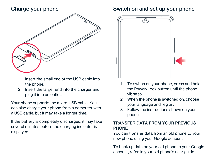### Charge your phone



- 1. Insert the small end of the USB cable into the phone.
- 2. Insert the larger end into the charger and plug it into an outlet.

Your phone supports the micro-USB cable. You can also charge your phone from a computer with a USB cable, but it may take a longer time.

If the battery is completely discharged, it may take several minutes before the charging indicator is displayed.

### Switch on and set up your phone



- 1. To switch on your phone, press and hold the Power/Lock button until the phone vibrates.
- 2. When the phone is switched on, choose your language and region.
- 3. Follow the instructions shown on your phone.

#### TRANSFER DATA FROM YOUR PREVIOUS **PHONE**

You can transfer data from an old phone to your new phone using your Google account.

To back up data on your old phone to your Google account, refer to your old phone's user guide.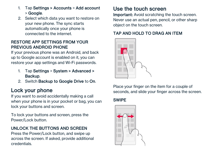- 1. Tap Settings > Accounts > Add account > Google.
- 2. Select which data you want to restore on your new phone. The sync starts automatically once your phone is connected to the internet.

#### RESTORE APP SETTINGS FROM YOUR PREVIOUS ANDROID PHONE

If your previous phone was an Android, and back up to Google account is enabled on it, you can restore your app settings and Wi-Fi passwords.

- 1. Tap Settings > System > Advanced > Backup.
- 2. Switch Backup to Google Drive to On.

### Lock your phone

If you want to avoid accidentally making a call when your phone is in your pocket or bag, you can lock your buttons and screen.

To lock your buttons and screen, press the Power/Lock button.

### UNLOCK THE BUTTONS AND SCREEN

Press the Power/Lock button, and swipe up across the screen. If asked, provide additional credentials.

### Use the touch screen

Important: Avoid scratching the touch screen. Never use an actual pen, pencil, or other sharp object on the touch screen.

#### TAP AND HOLD TO DRAG AN ITEM



Place your finger on the item for a couple of seconds, and slide your finger across the screen.

#### SWIPE

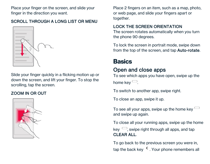Place your finger on the screen, and slide your finger in the direction you want.

#### SCROLL THROUGH A LONG LIST OR MENU



Slide your finger quickly in a flicking motion up or down the screen, and lift your finger. To stop the scrolling, tap the screen.

### ZOOM IN OR OUT



Place 2 fingers on an item, such as a map, photo, or web page, and slide your fingers apart or together.

#### LOCK THE SCREEN ORIENTATION

The screen rotates automatically when you turn the phone 90 degrees.

To lock the screen in portrait mode, swipe down from the top of the screen, and tap **Auto-rotate**.

# **Basics**

### Open and close apps

To see which apps you have open, swipe up the

home key  $\bigcirc$ .

To switch to another app, swipe right.

To close an app, swipe it up.

To see all your apps, swipe up the home key  $\Box$ and swipe up again.

To close all your running apps, swipe up the home key  $\Box$ , swipe right through all apps, and tap CLEAR ALL.

To go back to the previous screen you were in, tap the back key  $\zeta$ . Your phone remembers all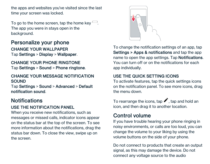the apps and websites you've visited since the last time your screen was locked.

To go to the home screen, tap the home key  $\subseteq$ . The app you were in stays open in the background.

Personalize your phone CHANGE YOUR WALLPAPER Tap Settings > Display > Wallpaper.

CHANGE YOUR PHONE RINGTONE Tap Settings > Sound > Phone ringtone.

#### CHANGE YOUR MESSAGE NOTIFICATION **SOUND**

Tap Settings > Sound > Advanced > Default notification sound.

### **Notifications**

### USE THE NOTIFICATION PANEL

When you receive new notifications, such as messages or missed calls, indicator icons appear on the status bar at the top of the screen. To see more information about the notifications, drag the status bar down. To close the view, swipe up on the screen.



To change the notification settings of an app, tap Settings > Apps & notifications and tap the app name to open the app settings. Tap Notifications. You can turn off or on the notifications for each app individually.

#### USE THE QUICK SETTING ICONS

To activate features, tap the quick settings icons on the notification panel. To see more icons, drag the menu down.

To rearrange the icons, tap  $\blacktriangleright$ , tap and hold an icon, and then drag it to another location.

### Control volume

If you have trouble hearing your phone ringing in noisy environments, or calls are too loud, you can change the volume to your liking by using the volume buttons on the side of your phone.

Do not connect to products that create an output signal, as this may damage the device. Do not connect any voltage source to the audio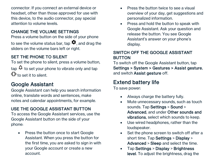connector. If you connect an external device or headset, other than those approved for use with this device, to the audio connector, pay special attention to volume levels.

#### CHANGE THE VOLUME SETTINGS

Press a volume button on the side of your phone to see the volume status bar, tap  $\clubsuit$ , and drag the sliders on the volume bars left or right.

### SET THE PHONE TO SILENT

To set the phone to silent, press a volume button, tap  $\overline{\mathsf{L}}$  to set your phone to vibrate only and tap  $\mathbb{U}$  to set it to silent.

### Google Assistant

Google Assistant can help you search information online, translate words and sentences, make notes and calendar appointments, for example.

### USE THE GOOGLE ASSISTANT BUTTON

To access the Google Assistant services, use the Google Assistant button on the side of your phone:

• Press the button once to start Google Assistant. When you press the button for the first time, you are asked to sign in with your Google account or create a new account.

- Press the button twice to see a visual overview of your day, get suggestions and personalized information.
- Press and hold the button to speak with Google Assistant. Ask your question and release the button. You see Google Assistant's answer on your phone's display.

#### SWITCH OFF THE GOOGLE ASSISTANT BUTTON

To switch off the Google Assistant button, tap Settings > System > Gestures > Assist gesture, and switch Assist gesture off.

### Extend battery life

To save power:

- Always charge the battery fully.
- Mute unnecessary sounds, such as touch sounds. Tap Settings > Sound > Advanced, and under Other sounds and vibrations, select which sounds to keep.
- Use wired headphones, rather than the loudspeaker.
- Set the phone screen to switch off after a short time. Tap Settings > Display > Advanced > Sleep and select the time.
- Tap Settings > Display > Brightness level. To adjust the brightness, drag the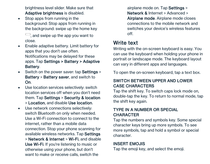brightness level slider. Make sure that Adaptive brightness is disabled.

• Stop apps from running in the background: Stop apps from running in the background: swipe up the home key

 $\sim$  and swipe up the app you want to close.

- Enable adaptive battery. Limit battery for apps that you don't use often. Notifications may be delayed for these apps. Tap Settings > Battery > Adaptive Battery.
- Switch on the power saver: tap Settings > Battery > Battery saver, and switch to On.
- Use location services selectively: switch location services off when you don't need them. Tap Settings > Security & location > Location, and disable Use location.
- Use network connections selectively: switch Bluetooth on only when needed. Use a Wi-Fi connection to connect to the internet, rather than a mobile data connection. Stop your phone scanning for available wireless networks. Tap Settings > Network & Internet > Wi-Fi, and disable Use Wi-Fi. If you're listening to music or otherwise using your phone, but don't want to make or receive calls, switch the

airplane mode on. Tap Settings > Network & Internet > Advanced > Airplane mode. Airplane mode closes connections to the mobile network and switches your device's wireless features off.

### Write text

Writing with the on-screen keyboard is easy. You can use the keyboard when holding your phone in portrait or landscape mode. The keyboard layout can vary in different apps and languages.

To open the on-screen keyboard, tap a text box.

#### SWITCH BETWEEN UPPER AND LOWER CASE CHARACTERS

Tap the shift key. To switch caps lock mode on, double-tap the key. To return to normal mode, tap the shift key again.

#### TYPE IN A NUMBER OR SPECIAL **CHARACTER**

Tap the numbers and symbols key. Some special character keys bring up more symbols. To see more symbols, tap and hold a symbol or special character.

#### INSERT EMOJIS

Tap the emoji key, and select the emoji.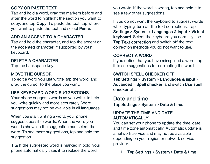### COPY OR PASTE TEXT

Tap and hold a word, drag the markers before and after the word to highlight the section you want to copy, and tap Copy. To paste the text, tap where you want to paste the text and select Paste.

#### ADD AN ACCENT TO A CHARACTER

Tap and hold the character, and tap the accent or the accented character, if supported by your keyboard.

#### DELETE A CHARACTER

Tap the backspace key.

#### MOVE THE CURSOR

To edit a word you just wrote, tap the word, and drag the cursor to the place you want.

#### USE KEYBOARD WORD SUGGESTIONS

Your phone suggests words as you write, to help you write quickly and more accurately. Word suggestions may not be available in all languages.

When you start writing a word, your phone suggests possible words. When the word you want is shown in the suggestion bar, select the word. To see more suggestions, tap and hold the suggestion.

**Tip:** If the suggested word is marked in bold, your phone automatically uses it to replace the word

you wrote. If the word is wrong, tap and hold it to see a few other suggestions.

If you do not want the keyboard to suggest words while typing, turn off the text corrections. Tap Settings > System > Languages & input > Virtual keyboard. Select the keyboard you normally use. Tap Text correction and switch off the text correction methods you do not want to use.

#### CORRECT A WORD

If you notice that you have misspelled a word, tap it to see suggestions for correcting the word.

#### SWITCH SPELL CHECKER OFF

Tap Settings > System > Languages & input > Advanced > Spell checker, and switch Use spell checker off.

### Date and time

Tap Settings > System > Date & time.

#### UPDATE THE TIME AND DATE AUTOMATICALLY

You can set your phone to update the time, date, and time zone automatically. Automatic update is a network service and may not be available depending on your region or network service provider.

#### 1. Tap Settings > System > Date & time.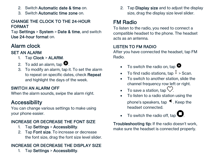- 2. Switch Automatic date & time on.
- 3. Switch Automatic time zone on.

#### CHANGE THE CLOCK TO THE 24-HOUR FORMAT

Tap Settings > System > Date & time, and switch Use 24-hour format on.

### Alarm clock

### SET AN ALARM

- 1. Tap Clock > ALARM.
- 2. To add an alarm, tap  $\bullet$ .
- 3. To modify an alarm, tap it. To set the alarm to repeat on specific dates, check Repeat and highlight the days of the week.

### SWITCH AN ALARM OFF

When the alarm sounds, swipe the alarm right.

### **Accessibility**

You can change various settings to make using your phone easier.

### INCREASE OR DECREASE THE FONT SIZE

- 1. Tap Settings > Accessibility.
- 2. Tap Font size. To increase or decrease the font size, drag the font size level slider.

### INCREASE OR DECREASE THE DISPLAY SIZE

1. Tap Settings > Accessibility.

2. Tap **Display size** and to adjust the display size, drag the display size level slider.

# FM Radio

To listen to the radio, you need to connect a compatible headset to the phone. The headset acts as an antenna.

### LISTEN TO FM RADIO

After you have connected the headset, tap FM Radio.

- To switch the radio on, tap  $\bullet$
- To find radio stations, tap  $\frac{1}{2}$  > Scan.
- To switch to another station, slide the channel frequency row left or right.
- To save a station, tap  $\heartsuit$ .
- To listen to a radio station using the phone's speakers, tap  $\blacktriangleleft$  . Keep the headset connected.
- To switch the radio off,  $tan$

Troubleshooting tip: If the radio doesn't work, make sure the headset is connected properly.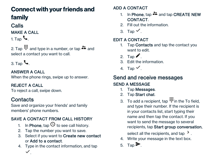# Connect with your friends and family

# Calls

### MAKE A CALL

1. Tap  $\mathcal{L}$ .

2. Tap  $\mathbb{H}$  and type in a number, or tap  $\mathbb{H}$  and select a contact you want to call.

3. Tap  $\mathcal{L}$ .

### ANSWER A CALL

When the phone rings, swipe up to answer.

### REJECT A CALL

To reject a call, swipe down.

# **Contacts**

Save and organize your friends' and family members' phone numbers.

### SAVE A CONTACT FROM CALL HISTORY

- 1. In Phone, tap  $\Theta$  to see call history.
- 2. Tap the number you want to save.
- 3. Select if you want to Create new contact or Add to a contact.
- 4. Type in the contact information, and tap  $\checkmark$

### ADD A CONTACT

- 1. In Phone, tap  $\stackrel{\bullet}{\bullet}$  and tap CREATE NEW **CONTACT.**
- 2. Fill out the information.
- 3. Tap  $\checkmark$ .

### EDIT A CONTACT

- 1. Tap Contacts and tap the contact you want to edit
- 2. Tap  $\sum$ .
- 3. Edit the information.
- 4. Tap  $\checkmark$ .

### Send and receive messages SEND A MESSAGE

- 1. Tap Messages.
- 2. Tap Start chat.
- 3. To add a recipient, tap  $\mathbf{u}$  in the To field. and type their number. If the recipient is in your contacts list, start typing their name and then tap the contact. If you want to send the message to several recipients, tap Start group conversation,

select all the recipients, and tap  $\rightarrow$ .

- 4. Write your message in the text box.
- 5. Tap  $\blacktriangleright$ .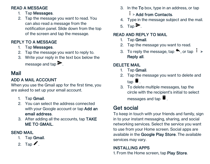### READ A MESSAGE

- 1. Tap Messages.
- 2. Tap the message you want to read. You can also read a message from the notification panel. Slide down from the top of the screen and tap the message.

### REPLY TO A MESSAGE

- 1. Tap Messages.
- 2. Tap the message you want to reply to.
- 3. Write your reply in the text box below the message and  $tan$   $\geq$ .

# Mail

### ADD A MAIL ACCOUNT

When you use the Gmail app for the first time, you are asked to set up your email account.

- 1. Tap Gmail.
- 2. You can select the address connected with your Google account or tap Add an email address.
- 3. After adding all the accounts, tap TAKE ME TO GMAIL.

### SEND MAIL

- 1. Tap Gmail.
- 2. Tap  $\triangle$ .

3. In the To box, type in an address, or tap

#### $\frac{1}{2}$  > Add from Contacts.

- 4. Type in the message subject and the mail.
- 5. Tap  $\blacktriangleright$ .

#### READ AND REPLY TO MAIL

- 1. Tap Gmail.
- 2. Tap the message you want to read.
- 3. To reply the message, tap  $\leftrightarrow$ , or tap  $\frac{1}{2}$  > Reply all.

### DELETE MAIL

- 1. Tap Gmail.
- 2. Tap the message you want to delete and  $tan \ \blacksquare$
- 3. To delete multiple messages, tap the circle with the recipient's initial to select messages and tap  $\blacksquare$

### Get social

To keep in touch with your friends and family, sign in to your instant messaging, sharing, and social networking services. Select the service you want to use from your Home screen. Social apps are available in the Google Play Store. The available services may vary.

### INSTALLING APPS

1. From the Home screen, tap Play Store.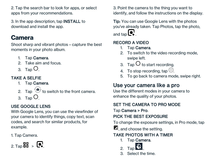2. Tap the search bar to look for apps, or select apps from your recommendations.

3. In the app description, tap INSTALL to download and install the app.

# Camera

Shoot sharp and vibrant photos – capture the best moments in your photo album.

- 1. Tap Camera.
- 2. Take aim and focus.
- 3. Tap  $O$ .

### TAKE A SELFIE

- 1. Tap Camera.
- 2. Tap  $\overbrace{\bullet}^*$  to switch to the front camera.
- 3. Tap  $O$ .

### USE GOOGLE LENS

With Google Lens, you can use the viewfinder of your camera to identify things, copy text, scan codes, and search for similar products, for example.

1. Tap Camera.



3. Point the camera to the thing you want to identify, and follow the instructions on the display.

**Tip:** You can use Google Lens with the photos you've already taken. Tap Photos, tap the photo, and tap  $\mathbf{C}$ .

### RECORD A VIDEO

- 1. Tap Camera.
- 2. To switch to the video recording mode, swipe left.
- 3. Tap  $\overline{O}$  to start recording.
- 4. To stop recording, tap  $\textcircled{\tiny{\textcircled{\tiny{1}}}}$
- 5. To go back to camera mode, swipe right.

# Use your camera like a pro

Use the different modes in your camera to enhance the quality of your photos.

### SET THE CAMERA TO PRO MODE

Tap Camera > Pro.

### PICK THE BEST EXPOSURE

To change the exposure settings, in Pro mode, tap

E and choose the setting.

### TAKE PHOTOS WITH A TIMER

- 1. Tap Camera.
- 2. Tap
- 3. Select the time.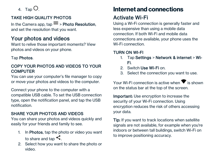4 Tap  $\overline{O}$ .

### TAKE HIGH QUALITY PHOTOS

In the Camera app,  $\tan \equiv$  > Photo Resolution, and set the resolution that you want.

### Your photos and videos

Want to relive those important moments? View photos and videos on your phone.

#### Tap Photos.

#### COPY YOUR PHOTOS AND VIDEOS TO YOUR **COMPUTER**

You can use your computer's file manager to copy or move your photos and videos to the computer.

Connect your phone to the computer with a compatible USB cable. To set the USB connection type, open the notification panel, and tap the USB notification.

#### SHARE YOUR PHOTOS AND VIDEOS

You can share your photos and videos quickly and easily for your friends and family to see.

- 1. In Photos, tap the photo or video you want to share and tap  $\leq$
- 2. Select how you want to share the photo or video.

# Internet and connections

### Activate Wi-Fi

Using a Wi-Fi connection is generally faster and less expensive than using a mobile data connection. If both Wi-Fi and mobile data connections are available, your phone uses the Wi-Fi connection.

### TURN ON WI-FI

- 1. Tap Settings > Network & internet > Wi-Fi.
- 2. Switch Use Wi-Fi on.
- 3. Select the connection you want to use.

Your Wi-Fi connection is active when  $\blacktriangledown$  is shown on the status bar at the top of the screen.

Important: Use encryption to increase the security of your Wi-Fi connection. Using encryption reduces the risk of others accessing your data.

**Tip:** If you want to track locations when satellite signals are not available, for example when you're indoors or between tall buildings, switch Wi-Fi on to improve positioning accuracy.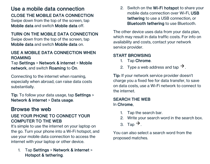# Use a mobile data connection CLOSE THE MOBILE DATA CONNECTION

Swipe down from the top of the screen, tap Mobile data and switch Mobile data off.

### TURN ON THE MOBILE DATA CONNECTION

Swipe down from the top of the screen, tap Mobile data and switch Mobile data on.

#### USE A MOBILE DATA CONNECTION WHEN ROAMING

Tap Settings > Network & internet > Mobile network, and switch Roaming to On.

Connecting to the internet when roaming, especially when abroad, can raise data costs substantially.

Tip: To follow your data usage, tap Settings > Network & internet > Data usage.

### Browse the web USE YOUR PHONE TO CONNECT YOUR COMPUTER TO THE WEB

It's simple to use the internet on your laptop on the go. Turn your phone into a Wi-Fi hotspot, and use your mobile data connection to access the internet with your laptop or other device.

1. Tap Settings > Network & internet > Hotspot & tethering.

2. Switch on the Wi-Fi hotspot to share your mobile data connection over Wi-Fi, USB tethering to use a USB connection, or Bluetooth tethering to use Bluetooth.

The other device uses data from your data plan, which may result in data traffic costs. For info on availability and costs, contact your network service provider.

### START BROWSING

- 1. Tap Chrome.
- 2. Type a web address and tap  $\rightarrow$

Tip: If your network service provider doesn't charge you a fixed fee for data transfer, to save on data costs, use a Wi-Fi network to connect to the internet.

#### SEARCH THE WEB In Chrome,

- 1. Tap the search bar.
- 2. Write your search word in the search box.
- 3. Tap  $\rightarrow$

You can also select a search word from the proposed matches.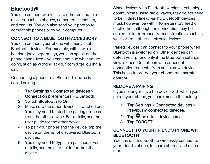### Bluetooth®

You can connect wirelessly to other compatible devices, such as phones, computers, headsets, and car kits. You can also send your photos to compatible phones or to your computer.

### CONNECT TO A BLUETOOTH ACCESSORY

You can connect your phone with many useful Bluetooth devices. For example, with a wireless headset (sold separately), you can speak on the phone hands-free – you can continue what you're doing, such as working at your computer, during a call.

Connecting a phone to a Bluetooth device is called pairing.

- 1. Tap Settings > Connected devices > Connection preferences > Bluetooth.
- 2. Switch Bluetooth to On.
- 3. Make sure the other device is switched on. You may need to start the pairing process from the other device. For details, see the user guide for the other device.
- 4. To pair your phone and the device, tap the device on the list of discovered Bluetooth devices.
- 5. You may need to type in a passcode. For details, see the user guide for the other device.

Since devices with Bluetooth wireless technology communicate using radio waves, they do not need to be in direct line-of-sight. Bluetooth devices must, however, be within 10 meters (33 feet) of each other, although the connection may be subject to interference from obstructions such as walls or from other electronic devices.

Paired devices can connect to your phone when Bluetooth is switched on. Other devices can detect your phone only if the Bluetooth settings view is open. Do not pair with or accept connection requests from an unknown device. This helps to protect your phone from harmful content.

#### REMOVE A PAIRING

If you no longer have the device with which you paired your phone, you can remove the pairing.

- 1. Tap Settings > Connected devices > Previously connected devices.
- 2. Tap  $\bullet$  next to a device name.
- 3. Tap FORGET.

#### CONNECT TO YOUR FRIEND'S PHONE WITH BLUETOOTH

You can use Bluetooth to wirelessly connect to your friend's phone, to share photos, and much more.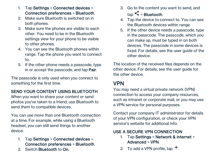- 1. Tap Settings > Connected devices > Connection preferences > Bluetooth.
- 2. Make sure Bluetooth is switched on in both phones.
- 3. Make sure the phones are visible to each other. You need to be in the Bluetooth settings view for your phone to be visible to other phones.
- 4. You can see the Bluetooth phones within range. Tap the phone you want to connect to.
- 5. If the other phone needs a passcode, type in or accept the passcode, and tap Pair.

The passcode is only used when you connect to something for the first time.

#### SEND YOUR CONTENT USING BLUETOOTH

When you want to share your content or send photos you've taken to a friend, use Bluetooth to send them to compatible devices.

You can use more than one Bluetooth connection at a time. For example, while using a Bluetooth headset, you can still send things to another device.

- 1. Tap Settings > Connected devices > Connection preferences > Bluetooth.
- 2. Switch Bluetooth to On.
- 3. Go to the content you want to send, and  $\tan$  > Bluetooth.
- 4. Tap the device to connect to. You can see the Bluetooth devices within range.
- 5. If the other device needs a passcode, type in the passcode. The passcode, which you can make up, must be typed in on both devices. The passcode in some devices is fixed. For details, see the user guide of the other device.

The location of the received files depends on the other device. For details, see the user guide for the other device.

### VPN

You may need a virtual private network (VPN) connection to access your company resources, such as intranet or corporate mail, or you may use a VPN service for personal purposes.

Contact your company IT administrator for details of your VPN configuration, or check your VPN service's website for additional info.

### USE A SECURE VPN CONNECTION

- 1. Tap Settings > Network & internet > Advanced > VPN.
- 2. To add a VPN profile, tap  $+$ .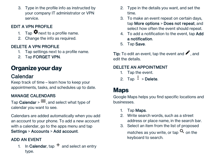3. Type in the profile info as instructed by your company IT administrator or VPN service.

### EDIT A VPN PROFILE

- 1. Tap  $\bullet$  next to a profile name.
- 2. Change the info as required.

### DELETE A VPN PROFILE

- 1. Tap settings next to a profile name.
- 2. Tap FORGET VPN.

# Organize your day

### Calendar

Keep track of time – learn how to keep your appointments, tasks, and schedules up to date.

### MANAGE CALENDARS

Tap Calendar  $\geq \equiv$ , and select what type of calendar you want to see.

Calendars are added automatically when you add an account to your phone. To add a new account with a calendar, go to the apps menu and tap Settings > Accounts > Add account.

### ADD AN EVENT

1. In Calendar, tap  $+$  and select an entry type.

- 2. Type in the details you want, and set the time.
- 3. To make an event repeat on certain days, tap More options > Does not repeat, and select how often the event should repeat.
- 4. To add a notification to the event, tap Add a notification.
- 5. Tap Save.

Tip: To edit an event, tap the event and  $\bullet$ , and edit the details.

#### DELETE AN APPOINTMENT

- 1. Tap the event.
- 2. Tap  $\frac{1}{2}$  > Delete.

# Maps

Google Maps helps you find specific locations and businesses.

- 1. Tap Maps.
- 2. Write search words, such as a street address or place name, in the search bar.
- 3. Select an item from the list of proposed matches as you write, or tap  $\alpha$  on the keyboard to search.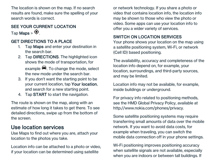The location is shown on the map. If no search results are found, make sure the spelling of your search words is correct.

### SEE YOUR CURRENT LOCATION Tap **Maps**  $>$   $\odot$

#### GET DIRECTIONS TO A PLACE

- 1. Tap Maps and enter your destination in the search bar.
- 2. Tap DIRECTIONS. The highlighted icon shows the mode of transportation, for example  $\blacksquare$ . To change the mode, select the new mode under the search bar.
- 3. If you don't want the starting point to be your current location, tap Your location, and search for a new starting point.
- 4. Tap START to start the navigation.

The route is shown on the map, along with an estimate of how long it takes to get there. To see detailed directions, swipe up from the bottom of the screen.

### Use location services

Use Maps to find out where you are, attach your location to the photos you take.

Location info can be attached to a photo or video, if your location can be determined using satellite

or network technology. If you share a photo or video that contains location info, the location info may be shown to those who view the photo or video. Some apps can use your location info to offer you a wider variety of services.

#### SWITCH ON LOCATION SERVICES

Your phone shows your location on the map using a satellite positioning system, Wi-Fi, or network (Cell ID) based positioning.

The availability, accuracy and completeness of the location info depend on, for example, your location, surroundings, and third-party sources, and may be limited.

Location info may not be available, for example, inside buildings or underground.

For privacy info related to positioning methods, see the HMD Global Privacy Policy, available at http://www.nokia.com/phones/privacy.

Some satellite positioning systems may require transferring small amounts of data over the mobile network. If you want to avoid data costs, for example when traveling, you can switch the mobile data connection off in your phone settings.

Wi-Fi positioning improves positioning accuracy when satellite signals are not available, especially when you are indoors or between tall buildings. If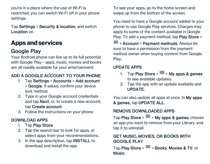you're in a place where the use of Wi-Fi is restricted, you can switch Wi-Fi off in your phone settings.

Tap Settings > Security & location, and switch Location on.

# Apps and services

### Google Play

Your Android phone can live up to its full potential with Google Play – apps, music, movies and books are all readily available for your entertainment.

### ADD A GOOGLE ACCOUNT TO YOUR PHONE

- 1. Tap Settings > Accounts > Add account > Google. If asked, confirm your device lock method.
- 2. Type in your Google account credentials and tap Next, or, to create a new account, tap Create account.
- 3. Follow the instructions on your phone.

### DOWNLOAD APPS

- 1. Tap Play Store.
- 2. Tap the search bar to look for apps, or select apps from your recommendations.
- 3. In the app description, tap INSTALL to download and install the app.

To see your apps, go to the home screen and swipe up from the bottom of the screen.

You need to have a Google account added to your phone to use Google Play services. Charges may apply to some of the content available in Google Play. To add a payment method, tap Play Store >

 $\equiv$  > Account > Payment methods. Always be sure to have a permission from the payment method owner when buying content from Google Play.

### UPDATE APPS

- 1. Tap Play Store  $\geq \equiv$  > My apps & games to see available updates.
- 2. Tap the app with an update available and UPDATE.

You can also update all apps at once. In My apps & games, tap UPDATE ALL.

### REMOVE DOWNLOADED APPS

Tap Play Store  $> \equiv$  > My apps & games, choose an app you want to remove from your Library, and tap X to uninstall.

#### GET MUSIC, MOVIES, OR BOOKS WITH GOOGLE PLAY

Tap Play Store  $> \equiv$  > Books, Movies & TV, or Music.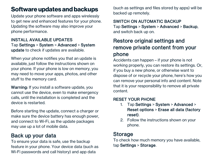# Software updates and backups

Update your phone software and apps wirelessly to get new and enhanced features for your phone. Updating the software may also improve your phone performance.

#### INSTALL AVAILABLE UPDATES Tap Settings > System > Advanced > System update to check if updates are available.

When your phone notifies you that an update is available, just follow the instructions shown on your phone. If your phone is low on memory, you may need to move your apps, photos, and other stuff to the memory card.

Warning: If you install a software update, you cannot use the device, even to make emergency calls, until the installation is completed and the device is restarted.

Before starting the update, connect a charger or make sure the device battery has enough power, and connect to Wi-Fi, as the update packages may use up a lot of mobile data.

### Back up your data

To ensure your data is safe, use the backup feature in your phone. Your device data (such as Wi-Fi passwords and call history) and app data

(such as settings and files stored by apps) will be backed up remotely.

#### SWITCH ON AUTOMATIC BACKUP Tap Settings > System > Advanced > Backup, and switch back up on.

### Restore original settings and remove private content from your phone

Accidents can happen – if your phone is not working properly, you can restore its settings. Or, if you buy a new phone, or otherwise want to dispose of or recycle your phone, here's how you can remove your personal info and content. Note that it is your responsibility to remove all private content.

#### RESET YOUR PHONE

- 1. Tap Settings > System > Advanced > Reset options > Erase all data (factory reset).
- 2. Follow the instructions shown on your phone.

### Storage

To check how much memory you have available, tap Settings > Storage.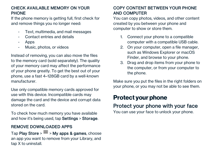#### CHECK AVAILABLE MEMORY ON YOUR PHONE

If the phone memory is getting full, first check for and remove things you no longer need:

- Text, multimedia, and mail messages
- Contact entries and details
- Apps
- Music, photos, or videos

Instead of removing, you can also move the files to the memory card (sold separately). The quality of your memory card may affect the performance of your phone greatly. To get the best out of your phone, use a fast 4–128GB card by a well-known manufacturer.

Use only compatible memory cards approved for use with this device. Incompatible cards may damage the card and the device and corrupt data stored on the card.

To check how much memory you have available and how it's being used, tap Settings > Storage.

#### REMOVE DOWNLOADED APPS

Tap Play Store  $> \equiv$  > My apps & games, choose an app you want to remove from your Library, and tap X to uninstall.

#### COPY CONTENT BETWEEN YOUR PHONE AND COMPUTER

You can copy photos, videos, and other content created by you between your phone and computer to show or store them.

- 1. Connect your phone to a compatible computer with a compatible USB cable.
- 2. On your computer, open a file manager, such as Windows Explorer or macOS Finder, and browse to your phone.
- 3. Drag and drop items from your phone to the computer, or from your computer to the phone.

Make sure you put the files in the right folders on your phone, or you may not be able to see them.

# Protect your phone

### Protect your phone with your face

You can use your face to unlock your phone.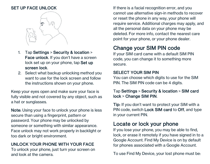#### SET UP FACE UNI OCK



- 1. Tap Settings > Security & location > Face unlock. If you don't have a screen lock set up on your phone, tap Set up screen lock.
- 2. Select what backup unlocking method you want to use for the lock screen and follow the instructions shown on your phone.

Keep your eyes open and make sure your face is fully visible and not covered by any object, such as a hat or sunglasses.

Note: Using your face to unlock your phone is less secure than using a fingerprint, pattern or password. Your phone may be unlocked by someone or something with similar appearance. Face unlock may not work properly in backlight or too dark or bright environment.

#### UNLOCK YOUR PHONE WITH YOUR FACE

To unlock your phone, just turn your screen on and look at the camera.

If there is a facial recognition error, and you cannot use alternative sign-in methods to recover or reset the phone in any way, your phone will require service. Additional charges may apply, and all the personal data on your phone may be deleted. For more info, contact the nearest care point for your phone, or your phone dealer.

### Change your SIM PIN code

If your SIM card came with a default SIM PIN code, you can change it to something more secure.

#### SELECT YOUR SIM PIN

You can choose which digits to use for the SIM PIN. The SIM PIN code can be 4 digits.

#### Tap Settings > Security & location > SIM card lock > Change SIM PIN.

**Tip:** If you don't want to protect your SIM with a PIN code, switch Lock SIM card to Off, and type in your current PIN.

### Locate or lock your phone

If you lose your phone, you may be able to find, lock, or erase it remotely if you have signed in to a Google Account. Find My Device is on by default for phones associated with a Google Account.

To use Find My Device, your lost phone must be: